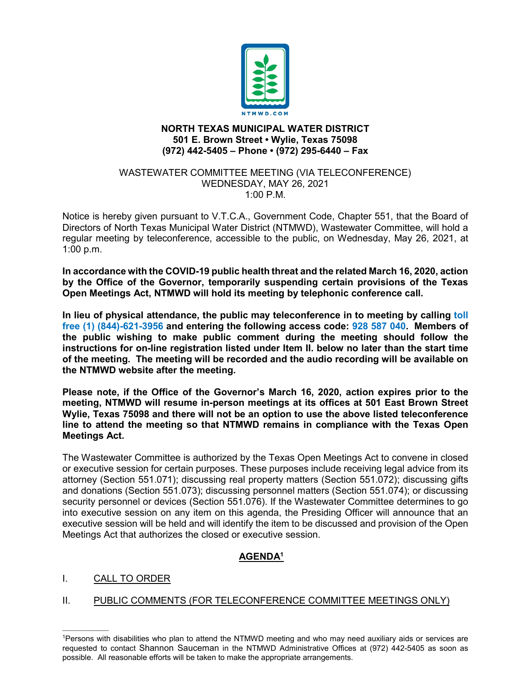

## **NORTH TEXAS MUNICIPAL WATER DISTRICT 501 E. Brown Street • Wylie, Texas 75098 (972) 442-5405 – Phone • (972) 295-6440 – Fax**

#### WASTEWATER COMMITTEE MEETING (VIA TELECONFERENCE) WEDNESDAY, MAY 26, 2021  $1:00 \text{ P M}$

Notice is hereby given pursuant to V.T.C.A., Government Code, Chapter 551, that the Board of Directors of North Texas Municipal Water District (NTMWD), Wastewater Committee, will hold a regular meeting by teleconference, accessible to the public, on Wednesday, May 26, 2021, at 1:00 p.m.

**In accordance with the COVID-19 public health threat and the related March 16, 2020, action by the Office of the Governor, temporarily suspending certain provisions of the Texas Open Meetings Act, NTMWD will hold its meeting by telephonic conference call.** 

**In lieu of physical attendance, the public may teleconference in to meeting by calling toll free (1) (844)-621-3956 and entering the following access code: 928 587 040. Members of the public wishing to make public comment during the meeting should follow the instructions for on-line registration listed under Item II. below no later than the start time of the meeting. The meeting will be recorded and the audio recording will be available on the NTMWD website after the meeting.**

**Please note, if the Office of the Governor's March 16, 2020, action expires prior to the meeting, NTMWD will resume in-person meetings at its offices at 501 East Brown Street Wylie, Texas 75098 and there will not be an option to use the above listed teleconference line to attend the meeting so that NTMWD remains in compliance with the Texas Open Meetings Act.**

The Wastewater Committee is authorized by the Texas Open Meetings Act to convene in closed or executive session for certain purposes. These purposes include receiving legal advice from its attorney (Section 551.071); discussing real property matters (Section 551.072); discussing gifts and donations (Section 551.073); discussing personnel matters (Section 551.074); or discussing security personnel or devices (Section 551.076). If the Wastewater Committee determines to go into executive session on any item on this agenda, the Presiding Officer will announce that an executive session will be held and will identify the item to be discussed and provision of the Open Meetings Act that authorizes the closed or executive session.

# **AGENDA1**

I. CALL TO ORDER

 $\mathcal{L}=\mathcal{L}^{\mathcal{L}}$ 

II. PUBLIC COMMENTS (FOR TELECONFERENCE COMMITTEE MEETINGS ONLY)

<sup>1</sup>Persons with disabilities who plan to attend the NTMWD meeting and who may need auxiliary aids or services are requested to contact Shannon Sauceman in the NTMWD Administrative Offices at (972) 442-5405 as soon as possible. All reasonable efforts will be taken to make the appropriate arrangements.